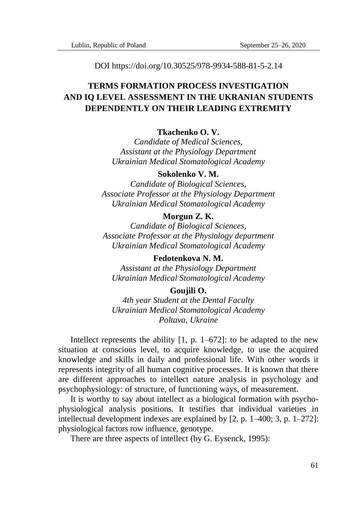DOI https://doi.org/10.30525/978-9934-588-81-5-2.14

# **TERMS FORMATION PROCESS INVESTIGATION AND IQ LEVEL ASSESSMENT IN THE UKRANIAN STUDENTS DEPENDENTLY ON THEIR LEADING EXTREMITY**

# **Tkachenko O. V.**

*Candidate of Medical Sciences, Assistant at the Physiology Department Ukrainian Medical Stomatological Academy*

# **Sokolenko V. M.**

*Candidate of Biological Sciences, Associate Professor at the Physiology Department Ukrainian Medical Stomatological Academy*

### **Morgun Z. K.**

*Candidate of Biological Sciences, Associate Professor at the Physiology department Ukrainian Medical Stomatological Academy*

**Fedotenkova N. M.** *Assistant at the Physiology Department Ukrainian Medical Stomatological Academy*

#### **Goujili O.**

*4th year Student at the Dental Faculty Ukrainian Medical Stomatological Academy Poltava, Ukraine*

Intellect represents the ability  $[1, p, 1-672]$ : to be adapted to the new situation at conscious level, to acquire knowledge, to use the acquired knowledge and skills in daily and professional life. With other words it represents integrity of all human cognitive processes. It is known that there are different approaches to intellect nature analysis in psychology and psychophysiology: of structure, of functioning ways, of measurement.

It is worthy to say about intellect as a biological formation with psychophysiological analysis positions. It testifies that individual varieties in intellectual development indexes are explained by [2, p. 1–400; 3, p. 1–272]: physiological factors row influence, genotype.

There are three aspects of intellect (by G. Eysenck, 1995):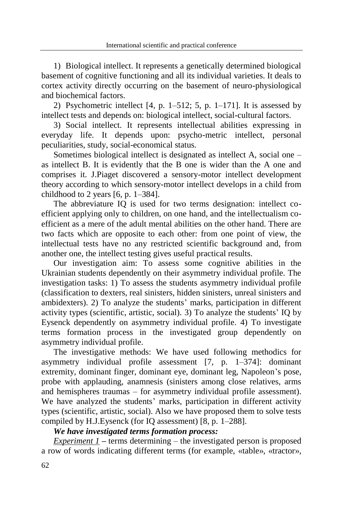1) Biological intellect. It represents a genetically determined biological basement of cognitive functioning and all its individual varieties. It deals to cortex activity directly occurring on the basement of neuro-physiological and biochemical factors.

2) Psychometric intellect  $[4, p. 1-512; 5, p. 1-171]$ . It is assessed by intellect tests and depends on: biological intellect, social-cultural factors.

3) Social intellect. It represents intellectual abilities expressing in everyday life. It depends upon: psycho-metric intellect, personal peculiarities, study, social-economical status.

Sometimes biological intellect is designated as intellect A, social one – as intellect B. It is evidently that the B one is wider than the A one and comprises it. J.Piaget discovered a sensory-motor intellect development theory according to which sensory-motor intellect develops in a child from childhood to 2 years  $[6, p. 1-384]$ .

The abbreviature IQ is used for two terms designation: intellect coefficient applying only to children, on one hand, and the intellectualism coefficient as a mere of the adult mental abilities on the other hand. There are two facts which are opposite to each other: from one point of view, the intellectual tests have no any restricted scientific background and, from another one, the intellect testing gives useful practical results.

Our investigation aim: To assess some cognitive abilities in the Ukrainian students dependently on their asymmetry individual profile. The investigation tasks: 1) To assess the students asymmetry individual profile (classification to dexters, real sinisters, hidden sinisters, unreal sinisters and ambidexters). 2) To analyze the students' marks, participation in different activity types (scientific, artistic, social). 3) To analyze the students' IQ by Eysenck dependently on asymmetry individual profile. 4) To investigate terms formation process in the investigated group dependently on asymmetry individual profile.

The investigative methods: We have used following methodics for asymmetry individual profile assessment [7, p. 1–374]: dominant extremity, dominant finger, dominant eye, dominant leg, Napoleon's pose, probe with applauding, anamnesis (sinisters among close relatives, arms and hemispheres traumas – for asymmetry individual profile assessment). We have analyzed the students' marks, participation in different activity types (scientific, artistic, social). Also we have proposed them to solve tests compiled by H.J.Eysenck (for IQ assessment) [8, p. 1–288].

# *We have investigated terms formation process:*

*Experiment 1 –* terms determining – the investigated person is proposed a row of words indicating different terms (for example, «table», «tractor»,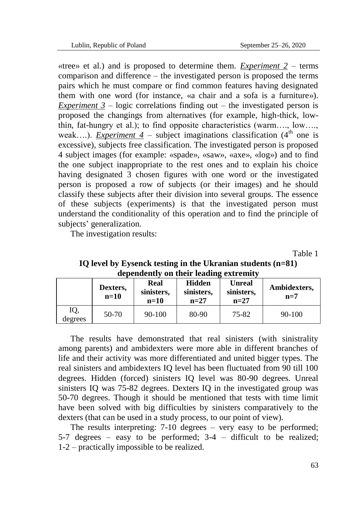«tree» et al.) and is proposed to determine them. *Experiment*  $2$  – terms comparison and difference – the investigated person is proposed the terms pairs which he must compare or find common features having designated them with one word (for instance, «a chair and a sofa is a furniture»). *Experiment*  $3$  *– logic correlations finding out – the investigated person is* proposed the changings from alternatives (for example, high-thick, lowthin, fat-hungry et al.); to find opposite characteristics (warm…., low…., weak....). *Experiment 4* – subject imaginations classification  $(4<sup>th</sup>$  one is excessive), subjects free classification. The investigated person is proposed 4 subject images (for example: «spade», «saw», «axe», «log») and to find the one subject inappropriate to the rest ones and to explain his choice having designated 3 chosen figures with one word or the investigated person is proposed a row of subjects (or their images) and he should classify these subjects after their division into several groups. The essence of these subjects (experiments) is that the investigated person must understand the conditionality of this operation and to find the principle of subjects' generalization.

The investigation results:

Table 1

| aependentry on their reading extremity |                    |                              |                                       |                                       |                       |  |  |  |  |  |
|----------------------------------------|--------------------|------------------------------|---------------------------------------|---------------------------------------|-----------------------|--|--|--|--|--|
|                                        | Dexters,<br>$n=10$ | Real<br>sinisters,<br>$n=10$ | <b>Hidden</b><br>sinisters,<br>$n=27$ | <b>Unreal</b><br>sinisters,<br>$n=27$ | Ambidexters,<br>$n=7$ |  |  |  |  |  |
| IQ,<br>degrees                         | $50-70$            | $90 - 100$                   | 80-90                                 | 75-82                                 | $90 - 100$            |  |  |  |  |  |

# **IQ level by Eysenck testing in the Ukranian students (n=81) dependently on their leading extremity**

The results have demonstrated that real sinisters (with sinistrality among parents) and ambidexters were more able in different branches of life and their activity was more differentiated and united bigger types. The real sinisters and ambidexters IQ level has been fluctuated from 90 till 100 degrees. Hidden (forced) sinisters IQ level was 80-90 degrees. Unreal sinisters IQ was 75-82 degrees. Dexters IQ in the investigated group was 50-70 degrees. Though it should be mentioned that tests with time limit have been solved with big difficulties by sinisters comparatively to the dexters (that can be used in a study process, to our point of view).

The results interpreting: 7-10 degrees – very easy to be performed; 5-7 degrees – easy to be performed; 3-4 – difficult to be realized; 1-2 – practically impossible to be realized.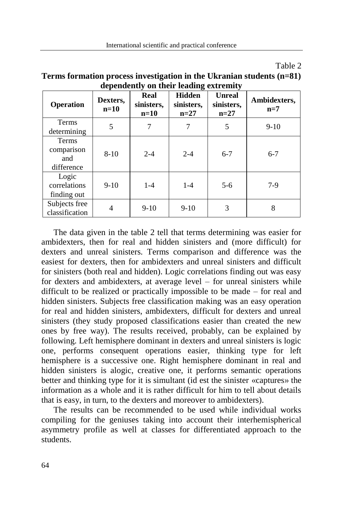| `able |  |
|-------|--|
|-------|--|

| aependently on their reading extreming   |                    |                              |                                       |                                       |                       |  |  |  |
|------------------------------------------|--------------------|------------------------------|---------------------------------------|---------------------------------------|-----------------------|--|--|--|
| Operation                                | Dexters,<br>$n=10$ | Real<br>sinisters,<br>$n=10$ | <b>Hidden</b><br>sinisters,<br>$n=27$ | <b>Unreal</b><br>sinisters,<br>$n=27$ | Ambidexters,<br>$n=7$ |  |  |  |
| Terms<br>determining                     | 5                  | 7                            | 7                                     | 5                                     | $9-10$                |  |  |  |
| Terms<br>comparison<br>and<br>difference | $8 - 10$           | $2 - 4$                      | $2 - 4$                               | $6 - 7$                               | $6 - 7$               |  |  |  |
| Logic<br>correlations<br>finding out     | $9-10$             | $1-4$                        | $1 - 4$                               | $5-6$                                 | $7-9$                 |  |  |  |
| Subjects free<br>classification          | 4                  | $9-10$                       | $9-10$                                | 3                                     | 8                     |  |  |  |

**Terms formation process investigation in the Ukranian students (n=81) dependently on their leading extremity**

The data given in the table 2 tell that terms determining was easier for ambidexters, then for real and hidden sinisters and (more difficult) for dexters and unreal sinisters. Terms comparison and difference was the easiest for dexters, then for ambidexters and unreal sinisters and difficult for sinisters (both real and hidden). Logic correlations finding out was easy for dexters and ambidexters, at average level – for unreal sinisters while difficult to be realized or practically impossible to be made – for real and hidden sinisters. Subjects free classification making was an easy operation for real and hidden sinisters, ambidexters, difficult for dexters and unreal sinisters (they study proposed classifications easier than created the new ones by free way). The results received, probably, can be explained by following. Left hemisphere dominant in dexters and unreal sinisters is logic one, performs consequent operations easier, thinking type for left hemisphere is a successive one. Right hemisphere dominant in real and hidden sinisters is alogic, creative one, it performs semantic operations better and thinking type for it is simultant (id est the sinister «captures» the information as a whole and it is rather difficult for him to tell about details that is easy, in turn, to the dexters and moreover to ambidexters).

The results can be recommended to be used while individual works compiling for the geniuses taking into account their interhemispherical asymmetry profile as well at classes for differentiated approach to the students.